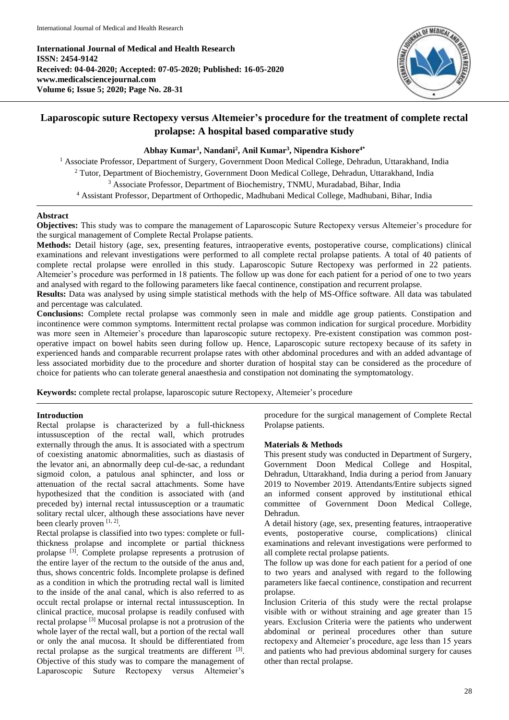**International Journal of Medical and Health Research ISSN: 2454-9142 Received: 04-04-2020; Accepted: 07-05-2020; Published: 16-05-2020 www.medicalsciencejournal.com Volume 6; Issue 5; 2020; Page No. 28-31**



# **Laparoscopic suture Rectopexy versus Altemeier's procedure for the treatment of complete rectal prolapse: A hospital based comparative study**

# **Abhay Kumar<sup>1</sup> , Nandani<sup>2</sup> , Anil Kumar<sup>3</sup> , Nipendra Kishore4\***

<sup>1</sup> Associate Professor, Department of Surgery, Government Doon Medical College, Dehradun, Uttarakhand, India <sup>2</sup> Tutor, Department of Biochemistry, Government Doon Medical College, Dehradun, Uttarakhand, India <sup>3</sup> Associate Professor, Department of Biochemistry, TNMU, Muradabad, Bihar, India <sup>4</sup> Assistant Professor, Department of Orthopedic, Madhubani Medical College, Madhubani, Bihar, India

# **Abstract**

**Objectives:** This study was to compare the management of Laparoscopic Suture Rectopexy versus Altemeier's procedure for the surgical management of Complete Rectal Prolapse patients.

**Methods:** Detail history (age, sex, presenting features, intraoperative events, postoperative course, complications) clinical examinations and relevant investigations were performed to all complete rectal prolapse patients. A total of 40 patients of complete rectal prolapse were enrolled in this study. Laparoscopic Suture Rectopexy was performed in 22 patients. Altemeier's procedure was performed in 18 patients. The follow up was done for each patient for a period of one to two years and analysed with regard to the following parameters like faecal continence, constipation and recurrent prolapse.

**Results:** Data was analysed by using simple statistical methods with the help of MS-Office software. All data was tabulated and percentage was calculated.

**Conclusions:** Complete rectal prolapse was commonly seen in male and middle age group patients. Constipation and incontinence were common symptoms. Intermittent rectal prolapse was common indication for surgical procedure. Morbidity was more seen in Altemeier's procedure than laparoscopic suture rectopexy. Pre-existent constipation was common postoperative impact on bowel habits seen during follow up. Hence, Laparoscopic suture rectopexy because of its safety in experienced hands and comparable recurrent prolapse rates with other abdominal procedures and with an added advantage of less associated morbidity due to the procedure and shorter duration of hospital stay can be considered as the procedure of choice for patients who can tolerate general anaesthesia and constipation not dominating the symptomatology.

**Keywords:** complete rectal prolapse, laparoscopic suture Rectopexy, Altemeier's procedure

### **Introduction**

Rectal prolapse is characterized by a full-thickness intussusception of the rectal wall, which protrudes externally through the anus. It is associated with a spectrum of coexisting anatomic abnormalities, such as diastasis of the levator ani, an abnormally deep cul-de-sac, a redundant sigmoid colon, a patulous anal sphincter, and loss or attenuation of the rectal sacral attachments. Some have hypothesized that the condition is associated with (and preceded by) internal rectal intussusception or a traumatic solitary rectal ulcer, although these associations have never been clearly proven [1, 2].

Rectal prolapse is classified into two types: complete or fullthickness prolapse and incomplete or partial thickness prolapse [3]. Complete prolapse represents a protrusion of the entire layer of the rectum to the outside of the anus and, thus, shows concentric folds. Incomplete prolapse is defined as a condition in which the protruding rectal wall is limited to the inside of the anal canal, which is also referred to as occult rectal prolapse or internal rectal intussusception. In clinical practice, mucosal prolapse is readily confused with rectal prolapse [3] Mucosal prolapse is not a protrusion of the whole layer of the rectal wall, but a portion of the rectal wall or only the anal mucosa. It should be differentiated from rectal prolapse as the surgical treatments are different <sup>[3]</sup>. Objective of this study was to compare the management of Laparoscopic Suture Rectopexy versus Altemeier's

procedure for the surgical management of Complete Rectal Prolapse patients.

### **Materials & Methods**

This present study was conducted in Department of Surgery, Government Doon Medical College and Hospital, Dehradun, Uttarakhand, India during a period from January 2019 to November 2019. Attendants/Entire subjects signed an informed consent approved by institutional ethical committee of Government Doon Medical College, Dehradun.

A detail history (age, sex, presenting features, intraoperative events, postoperative course, complications) clinical examinations and relevant investigations were performed to all complete rectal prolapse patients.

The follow up was done for each patient for a period of one to two years and analysed with regard to the following parameters like faecal continence, constipation and recurrent prolapse.

Inclusion Criteria of this study were the rectal prolapse visible with or without straining and age greater than 15 years. Exclusion Criteria were the patients who underwent abdominal or perineal procedures other than suture rectopexy and Altemeier's procedure, age less than 15 years and patients who had previous abdominal surgery for causes other than rectal prolapse.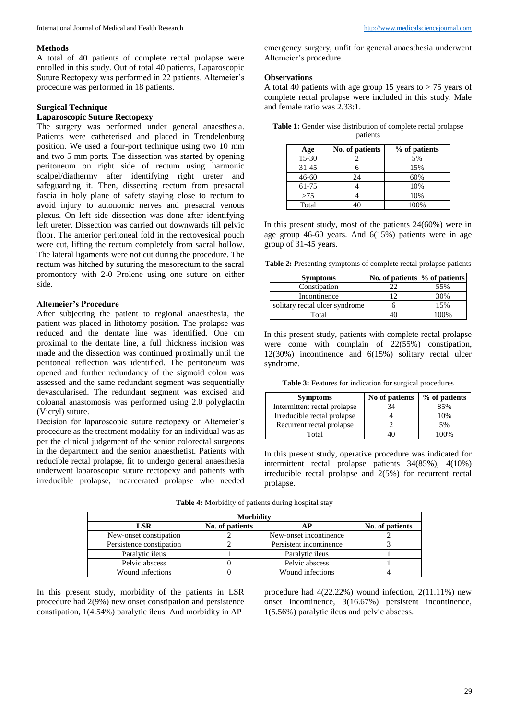### **Methods**

A total of 40 patients of complete rectal prolapse were enrolled in this study. Out of total 40 patients, Laparoscopic Suture Rectopexy was performed in 22 patients. Altemeier's procedure was performed in 18 patients.

# **Surgical Technique**

# **Laparoscopic Suture Rectopexy**

The surgery was performed under general anaesthesia. Patients were catheterised and placed in Trendelenburg position. We used a four-port technique using two 10 mm and two 5 mm ports. The dissection was started by opening peritoneum on right side of rectum using harmonic scalpel/diathermy after identifying right ureter and safeguarding it. Then, dissecting rectum from presacral fascia in holy plane of safety staying close to rectum to avoid injury to autonomic nerves and presacral venous plexus. On left side dissection was done after identifying left ureter. Dissection was carried out downwards till pelvic floor. The anterior peritoneal fold in the rectovesical pouch were cut, lifting the rectum completely from sacral hollow. The lateral ligaments were not cut during the procedure. The rectum was hitched by suturing the mesorectum to the sacral promontory with 2-0 Prolene using one suture on either side.

# **Altemeier's Procedure**

After subjecting the patient to regional anaesthesia, the patient was placed in lithotomy position. The prolapse was reduced and the dentate line was identified. One cm proximal to the dentate line, a full thickness incision was made and the dissection was continued proximally until the peritoneal reflection was identified. The peritoneum was opened and further redundancy of the sigmoid colon was assessed and the same redundant segment was sequentially devascularised. The redundant segment was excised and coloanal anastomosis was performed using 2.0 polyglactin (Vicryl) suture.

Decision for laparoscopic suture rectopexy or Altemeier's procedure as the treatment modality for an individual was as per the clinical judgement of the senior colorectal surgeons in the department and the senior anaesthetist. Patients with reducible rectal prolapse, fit to undergo general anaesthesia underwent laparoscopic suture rectopexy and patients with irreducible prolapse, incarcerated prolapse who needed emergency surgery, unfit for general anaesthesia underwent Altemeier's procedure.

#### **Observations**

A total 40 patients with age group 15 years to  $> 75$  years of complete rectal prolapse were included in this study. Male and female ratio was 2.33:1.

| <b>Table 1:</b> Gender wise distribution of complete rectal prolapse |          |  |
|----------------------------------------------------------------------|----------|--|
|                                                                      | patients |  |

| Age       | No. of patients | % of patients |
|-----------|-----------------|---------------|
| 15-30     |                 | 5%            |
| $31 - 45$ |                 | 15%           |
| $46 - 60$ | 24              | 60%           |
| 61-75     |                 | 10%           |
| >75       |                 | 10%           |
| Total     |                 | 100%          |

In this present study, most of the patients 24(60%) were in age group 46-60 years. And 6(15%) patients were in age group of 31-45 years.

**Table 2:** Presenting symptoms of complete rectal prolapse patients

| <b>Symptoms</b>                | No. of patients $\%$ of patients |        |
|--------------------------------|----------------------------------|--------|
| Constipation                   |                                  | 55%    |
| Incontinence                   |                                  | 30%    |
| solitary rectal ulcer syndrome |                                  | 15%    |
| Total                          |                                  | $00\%$ |

In this present study, patients with complete rectal prolapse were come with complain of 22(55%) constipation, 12(30%) incontinence and 6(15%) solitary rectal ulcer syndrome.

**Table 3:** Features for indication for surgical procedures

| <b>Symptoms</b>              | No of patients | % of patients |
|------------------------------|----------------|---------------|
| Intermittent rectal prolapse | 34             | 85%           |
| Irreducible rectal prolapse  |                | 10%           |
| Recurrent rectal prolapse    |                | 5%            |
| Total                        | 10             | $00\%$        |

In this present study, operative procedure was indicated for intermittent rectal prolapse patients 34(85%), 4(10%) irreducible rectal prolapse and 2(5%) for recurrent rectal prolapse.

| <b>Morbidity</b>         |                 |                         |                 |
|--------------------------|-----------------|-------------------------|-----------------|
| LSR                      | No. of patients |                         | No. of patients |
| New-onset constipation   |                 | New-onset incontinence  |                 |
| Persistence constipation |                 | Persistent incontinence |                 |
| Paralytic ileus          |                 | Paralytic ileus         |                 |
| Pelvic abscess           |                 | Pelvic abscess          |                 |
| Wound infections         |                 | Wound infections        |                 |

**Table 4:** Morbidity of patients during hospital stay

In this present study, morbidity of the patients in LSR procedure had 2(9%) new onset constipation and persistence constipation, 1(4.54%) paralytic ileus. And morbidity in AP

procedure had 4(22.22%) wound infection, 2(11.11%) new onset incontinence, 3(16.67%) persistent incontinence, 1(5.56%) paralytic ileus and pelvic abscess.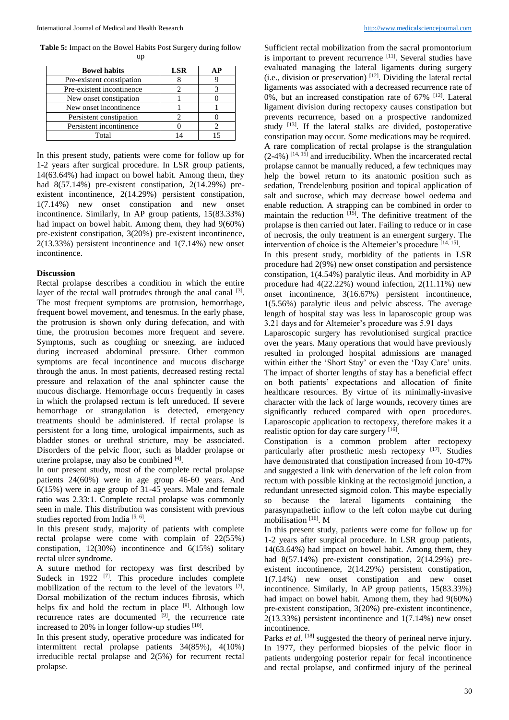**Table 5:** Impact on the Bowel Habits Post Surgery during follow up

| <b>Bowel habits</b>       | LSR | AР |
|---------------------------|-----|----|
| Pre-existent constipation |     |    |
| Pre-existent incontinence |     |    |
| New onset constipation    |     |    |
| New onset incontinence    |     |    |
| Persistent constipation   |     |    |
| Persistent incontinence   |     |    |
| Total                     |     |    |

In this present study, patients were come for follow up for 1-2 years after surgical procedure. In LSR group patients, 14(63.64%) had impact on bowel habit. Among them, they had 8(57.14%) pre-existent constipation, 2(14.29%) preexistent incontinence, 2(14.29%) persistent constipation, 1(7.14%) new onset constipation and new onset incontinence. Similarly, In AP group patients, 15(83.33%) had impact on bowel habit. Among them, they had 9(60%) pre-existent constipation, 3(20%) pre-existent incontinence, 2(13.33%) persistent incontinence and 1(7.14%) new onset incontinence.

### **Discussion**

Rectal prolapse describes a condition in which the entire layer of the rectal wall protrudes through the anal canal <sup>[3]</sup>. The most frequent symptoms are protrusion, hemorrhage, frequent bowel movement, and tenesmus. In the early phase, the protrusion is shown only during defecation, and with time, the protrusion becomes more frequent and severe. Symptoms, such as coughing or sneezing, are induced during increased abdominal pressure. Other common symptoms are fecal incontinence and mucous discharge through the anus. In most patients, decreased resting rectal pressure and relaxation of the anal sphincter cause the mucous discharge. Hemorrhage occurs frequently in cases in which the prolapsed rectum is left unreduced. If severe hemorrhage or strangulation is detected, emergency treatments should be administered. If rectal prolapse is persistent for a long time, urological impairments, such as bladder stones or urethral stricture, may be associated. Disorders of the pelvic floor, such as bladder prolapse or uterine prolapse, may also be combined [4].

In our present study, most of the complete rectal prolapse patients 24(60%) were in age group 46-60 years. And 6(15%) were in age group of 31-45 years. Male and female ratio was 2.33:1. Complete rectal prolapse was commonly seen in male. This distribution was consistent with previous studies reported from India<sup>[5, 6]</sup>.

In this present study, majority of patients with complete rectal prolapse were come with complain of 22(55%) constipation, 12(30%) incontinence and 6(15%) solitary rectal ulcer syndrome.

A suture method for rectopexy was first described by Sudeck in 1922  $[7]$ . This procedure includes complete mobilization of the rectum to the level of the levators [7]. Dorsal mobilization of the rectum induces fibrosis, which helps fix and hold the rectum in place  $[8]$ . Although low recurrence rates are documented  $[9]$ , the recurrence rate increased to 20% in longer follow-up studies  $[10]$ .

In this present study, operative procedure was indicated for intermittent rectal prolapse patients 34(85%), 4(10%) irreducible rectal prolapse and 2(5%) for recurrent rectal prolapse.

Sufficient rectal mobilization from the sacral promontorium is important to prevent recurrence [11]. Several studies have evaluated managing the lateral ligaments during surgery  $(i.e., division or preservation)$ <sup>[12]</sup>. Dividing the lateral rectal ligaments was associated with a decreased recurrence rate of 0%, but an increased constipation rate of 67% [12]. Lateral ligament division during rectopexy causes constipation but prevents recurrence, based on a prospective randomized study [13]. If the lateral stalks are divided, postoperative constipation may occur. Some medications may be required. A rare complication of rectal prolapse is the strangulation  $(2-4\%)$ <sup>[14, 15]</sup> and irreducibility. When the incarcerated rectal prolapse cannot be manually reduced, a few techniques may help the bowel return to its anatomic position such as sedation, Trendelenburg position and topical application of salt and sucrose, which may decrease bowel oedema and enable reduction. A strapping can be combined in order to maintain the reduction  $[15]$ . The definitive treatment of the prolapse is then carried out later. Failing to reduce or in case of necrosis, the only treatment is an emergent surgery. The intervention of choice is the Altemeier's procedure [14, 15] .

In this present study, morbidity of the patients in LSR procedure had 2(9%) new onset constipation and persistence constipation, 1(4.54%) paralytic ileus. And morbidity in AP procedure had 4(22.22%) wound infection, 2(11.11%) new onset incontinence, 3(16.67%) persistent incontinence, 1(5.56%) paralytic ileus and pelvic abscess. The average length of hospital stay was less in laparoscopic group was 3.21 days and for Altemeier's procedure was 5.91 days

Laparoscopic surgery has revolutionised surgical practice over the years. Many operations that would have previously resulted in prolonged hospital admissions are managed within either the 'Short Stay' or even the 'Day Care' units. The impact of shorter lengths of stay has a beneficial effect on both patients' expectations and allocation of finite healthcare resources. By virtue of its minimally-invasive character with the lack of large wounds, recovery times are significantly reduced compared with open procedures. Laparoscopic application to rectopexy, therefore makes it a realistic option for day care surgery [16].

Constipation is a common problem after rectopexy particularly after prosthetic mesh rectopexy [17]. Studies have demonstrated that constipation increased from 10-47% and suggested a link with denervation of the left colon from rectum with possible kinking at the rectosigmoid junction, a redundant unresected sigmoid colon. This maybe especially so because the lateral ligaments containing the parasympathetic inflow to the left colon maybe cut during mobilisation [16]. M

In this present study, patients were come for follow up for 1-2 years after surgical procedure. In LSR group patients, 14(63.64%) had impact on bowel habit. Among them, they had 8(57.14%) pre-existent constipation, 2(14.29%) preexistent incontinence, 2(14.29%) persistent constipation, 1(7.14%) new onset constipation and new onset incontinence. Similarly, In AP group patients, 15(83.33%) had impact on bowel habit. Among them, they had 9(60%) pre-existent constipation, 3(20%) pre-existent incontinence, 2(13.33%) persistent incontinence and 1(7.14%) new onset incontinence.

Parks *et al.* <sup>[18]</sup> suggested the theory of perineal nerve injury. In 1977, they performed biopsies of the pelvic floor in patients undergoing posterior repair for fecal incontinence and rectal prolapse, and confirmed injury of the perineal